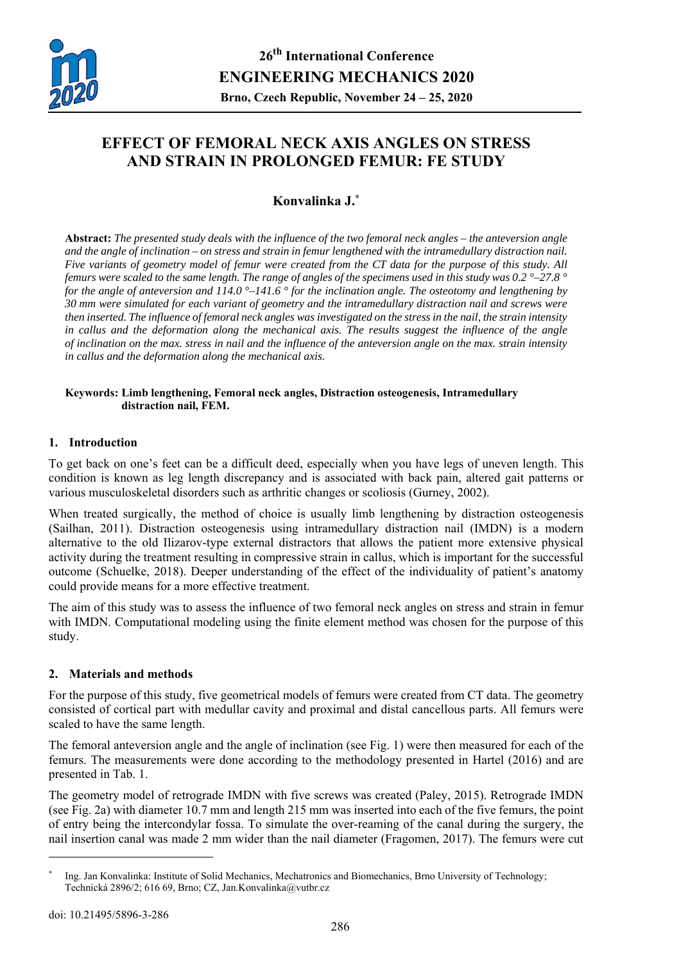

# **EFFECT OF FEMORAL NECK AXIS ANGLES ON STRESS AND STRAIN IN PROLONGED FEMUR: FE STUDY**

## **Konvalinka J.\***

**Abstract:** *The presented study deals with the influence of the two femoral neck angles – the anteversion angle and the angle of inclination – on stress and strain in femur lengthened with the intramedullary distraction nail. Five variants of geometry model of femur were created from the CT data for the purpose of this study. All femurs were scaled to the same length. The range of angles of the specimens used in this study was 0.2 °–27.8 ° for the angle of anteversion and 114.0 °–141.6 ° for the inclination angle. The osteotomy and lengthening by 30 mm were simulated for each variant of geometry and the intramedullary distraction nail and screws were then inserted. The influence of femoral neck angles was investigated on the stress in the nail, the strain intensity*  in callus and the deformation along the mechanical axis. The results suggest the influence of the angle *of inclination on the max. stress in nail and the influence of the anteversion angle on the max. strain intensity in callus and the deformation along the mechanical axis.* 

#### **Keywords: Limb lengthening, Femoral neck angles, Distraction osteogenesis, Intramedullary distraction nail, FEM.**

## **1. Introduction**

To get back on one's feet can be a difficult deed, especially when you have legs of uneven length. This condition is known as leg length discrepancy and is associated with back pain, altered gait patterns or various musculoskeletal disorders such as arthritic changes or scoliosis (Gurney, 2002).

When treated surgically, the method of choice is usually limb lengthening by distraction osteogenesis (Sailhan, 2011). Distraction osteogenesis using intramedullary distraction nail (IMDN) is a modern alternative to the old Ilizarov-type external distractors that allows the patient more extensive physical activity during the treatment resulting in compressive strain in callus, which is important for the successful outcome (Schuelke, 2018). Deeper understanding of the effect of the individuality of patient's anatomy could provide means for a more effective treatment.

The aim of this study was to assess the influence of two femoral neck angles on stress and strain in femur with IMDN. Computational modeling using the finite element method was chosen for the purpose of this study.

### **2. Materials and methods**

For the purpose of this study, five geometrical models of femurs were created from CT data. The geometry consisted of cortical part with medullar cavity and proximal and distal cancellous parts. All femurs were scaled to have the same length.

The femoral anteversion angle and the angle of inclination (see Fig. 1) were then measured for each of the femurs. The measurements were done according to the methodology presented in Hartel (2016) and are presented in Tab. 1.

The geometry model of retrograde IMDN with five screws was created (Paley, 2015). Retrograde IMDN (see Fig. 2a) with diameter 10.7 mm and length 215 mm was inserted into each of the five femurs, the point of entry being the intercondylar fossa. To simulate the over-reaming of the canal during the surgery, the nail insertion canal was made 2 mm wider than the nail diameter (Fragomen, 2017). The femurs were cut

 $\overline{a}$ 

<sup>\*</sup> Ing. Jan Konvalinka: Institute of Solid Mechanics, Mechatronics and Biomechanics, Brno University of Technology; Technická 2896/2; 616 69, Brno; CZ, Jan.Konvalinka@vutbr.cz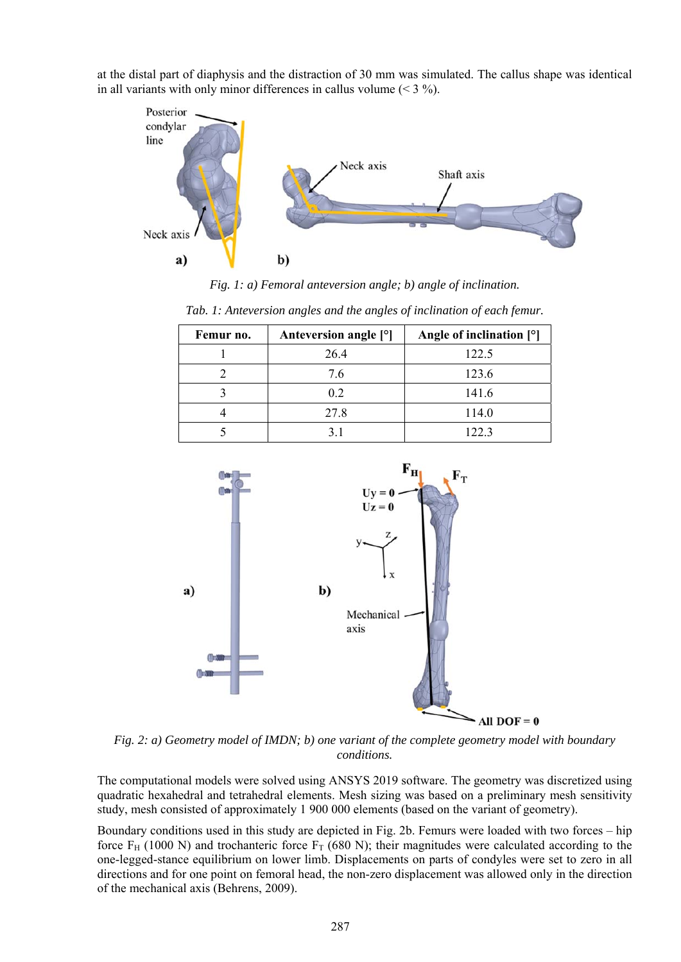at the distal part of diaphysis and the distraction of 30 mm was simulated. The callus shape was identical in all variants with only minor differences in callus volume  $(< 3\%$ ).



*Fig. 1: a) Femoral anteversion angle; b) angle of inclination.* 

| Tab. 1: Anteversion angles and the angles of inclination of each femur. |  |  |  |  |
|-------------------------------------------------------------------------|--|--|--|--|
|-------------------------------------------------------------------------|--|--|--|--|

| Femur no. | Anteversion angle [°] | Angle of inclination $[°]$ |  |
|-----------|-----------------------|----------------------------|--|
|           | 26.4                  | 122.5                      |  |
|           | 7.6                   | 123.6                      |  |
|           | 0.2                   | 141.6                      |  |
|           | 27.8                  | 114.0                      |  |
|           |                       | 122.3                      |  |



*Fig. 2: a) Geometry model of IMDN; b) one variant of the complete geometry model with boundary conditions.* 

The computational models were solved using ANSYS 2019 software. The geometry was discretized using quadratic hexahedral and tetrahedral elements. Mesh sizing was based on a preliminary mesh sensitivity study, mesh consisted of approximately 1 900 000 elements (based on the variant of geometry).

Boundary conditions used in this study are depicted in Fig. 2b. Femurs were loaded with two forces – hip force  $F_H$  (1000 N) and trochanteric force  $F_T$  (680 N); their magnitudes were calculated according to the one-legged-stance equilibrium on lower limb. Displacements on parts of condyles were set to zero in all directions and for one point on femoral head, the non-zero displacement was allowed only in the direction of the mechanical axis (Behrens, 2009).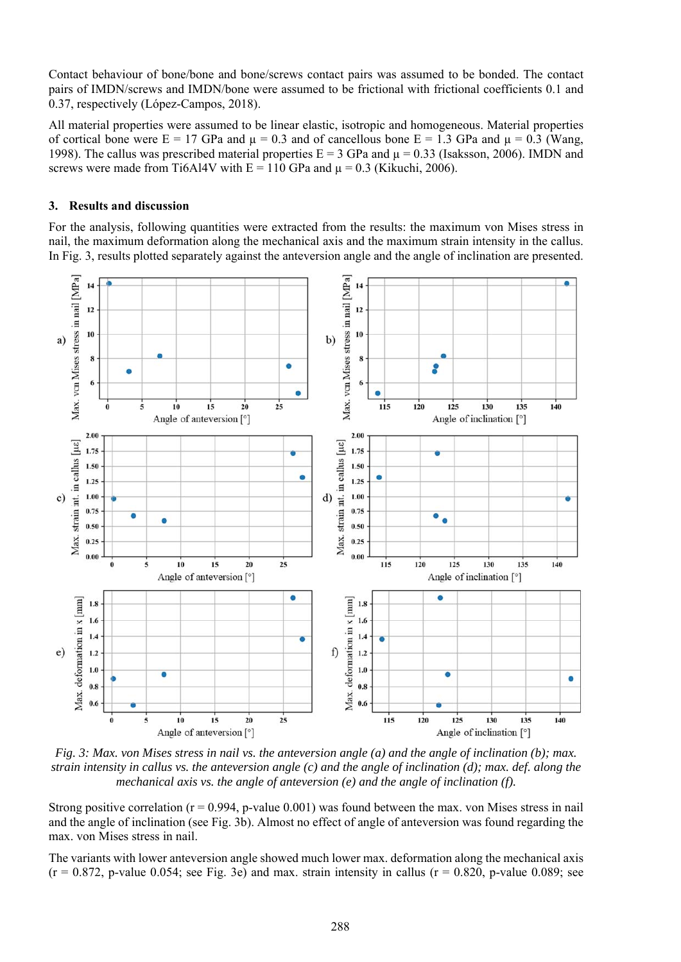Contact behaviour of bone/bone and bone/screws contact pairs was assumed to be bonded. The contact pairs of IMDN/screws and IMDN/bone were assumed to be frictional with frictional coefficients 0.1 and 0.37, respectively (López-Campos, 2018).

All material properties were assumed to be linear elastic, isotropic and homogeneous. Material properties of cortical bone were  $E = 17$  GPa and  $\mu = 0.3$  and of cancellous bone  $E = 1.3$  GPa and  $\mu = 0.3$  (Wang, 1998). The callus was prescribed material properties  $E = 3$  GPa and  $\mu = 0.33$  (Isaksson, 2006). IMDN and screws were made from Ti6Al4V with  $E = 110$  GPa and  $\mu = 0.3$  (Kikuchi, 2006).

### **3. Results and discussion**

For the analysis, following quantities were extracted from the results: the maximum von Mises stress in nail, the maximum deformation along the mechanical axis and the maximum strain intensity in the callus. In Fig. 3, results plotted separately against the anteversion angle and the angle of inclination are presented.



*Fig. 3: Max. von Mises stress in nail vs. the anteversion angle (a) and the angle of inclination (b); max. strain intensity in callus vs. the anteversion angle (c) and the angle of inclination (d); max. def. along the mechanical axis vs. the angle of anteversion (e) and the angle of inclination (f).* 

Strong positive correlation ( $r = 0.994$ , p-value 0.001) was found between the max. von Mises stress in nail and the angle of inclination (see Fig. 3b). Almost no effect of angle of anteversion was found regarding the max. von Mises stress in nail.

The variants with lower anteversion angle showed much lower max. deformation along the mechanical axis  $(r = 0.872, p-value 0.054$ ; see Fig. 3e) and max. strain intensity in callus  $(r = 0.820, p-value 0.089$ ; see